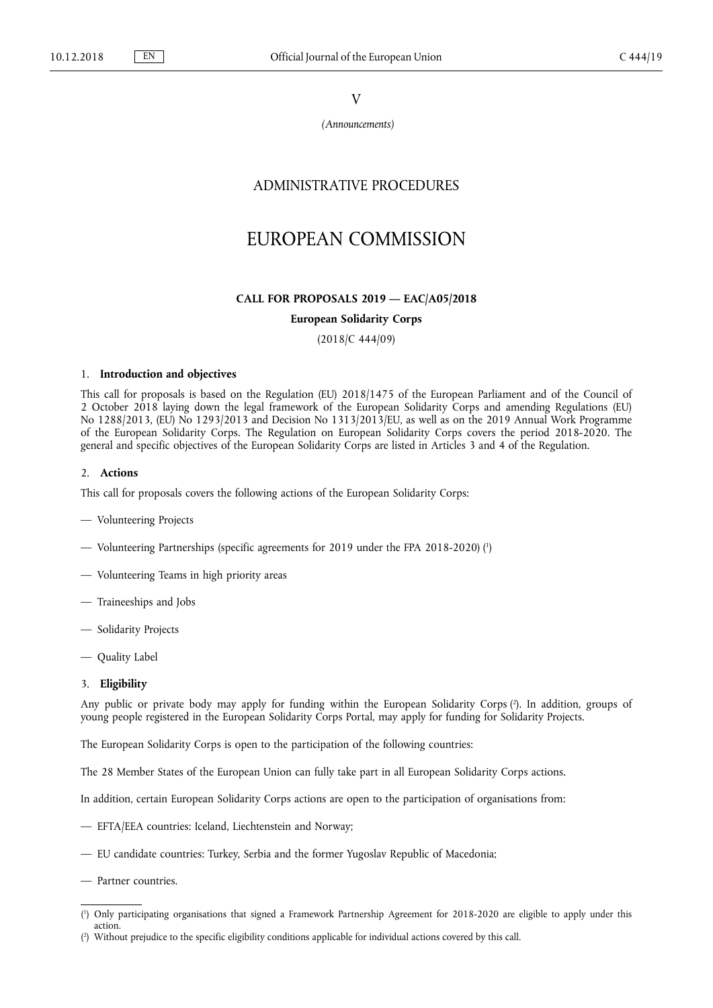V

*(Announcements)*

## ADMINISTRATIVE PROCEDURES

# EUROPEAN COMMISSION

## **CALL FOR PROPOSALS 2019 — EAC/A05/2018**

## **European Solidarity Corps**

(2018/C 444/09)

## 1. **Introduction and objectives**

This call for proposals is based on the Regulation (EU) 2018/1475 of the European Parliament and of the Council of 2 October 2018 laying down the legal framework of the European Solidarity Corps and amending Regulations (EU) No 1288/2013, (EU) No 1293/2013 and Decision No 1313/2013/EU, as well as on the 2019 Annual Work Programme of the European Solidarity Corps. The Regulation on European Solidarity Corps covers the period 2018-2020. The general and specific objectives of the European Solidarity Corps are listed in Articles 3 and 4 of the Regulation.

#### 2. **Actions**

This call for proposals covers the following actions of the European Solidarity Corps:

- Volunteering Projects
- Volunteering Partnerships (specific agreements for 2019 under the FPA 2018-2020) ( 1 )
- Volunteering Teams in high priority areas
- Traineeships and Jobs
- Solidarity Projects
- Quality Label

### 3. **Eligibility**

Any public or private body may apply for funding within the European Solidarity Corps ( 2 ). In addition, groups of young people registered in the European Solidarity Corps Portal, may apply for funding for Solidarity Projects.

The European Solidarity Corps is open to the participation of the following countries:

The 28 Member States of the European Union can fully take part in all European Solidarity Corps actions.

In addition, certain European Solidarity Corps actions are open to the participation of organisations from:

- EFTA/EEA countries: Iceland, Liechtenstein and Norway;
- EU candidate countries: Turkey, Serbia and the former Yugoslav Republic of Macedonia;
- Partner countries.
- ( 1 ) Only participating organisations that signed a Framework Partnership Agreement for 2018-2020 are eligible to apply under this action.
- ( 2 ) Without prejudice to the specific eligibility conditions applicable for individual actions covered by this call.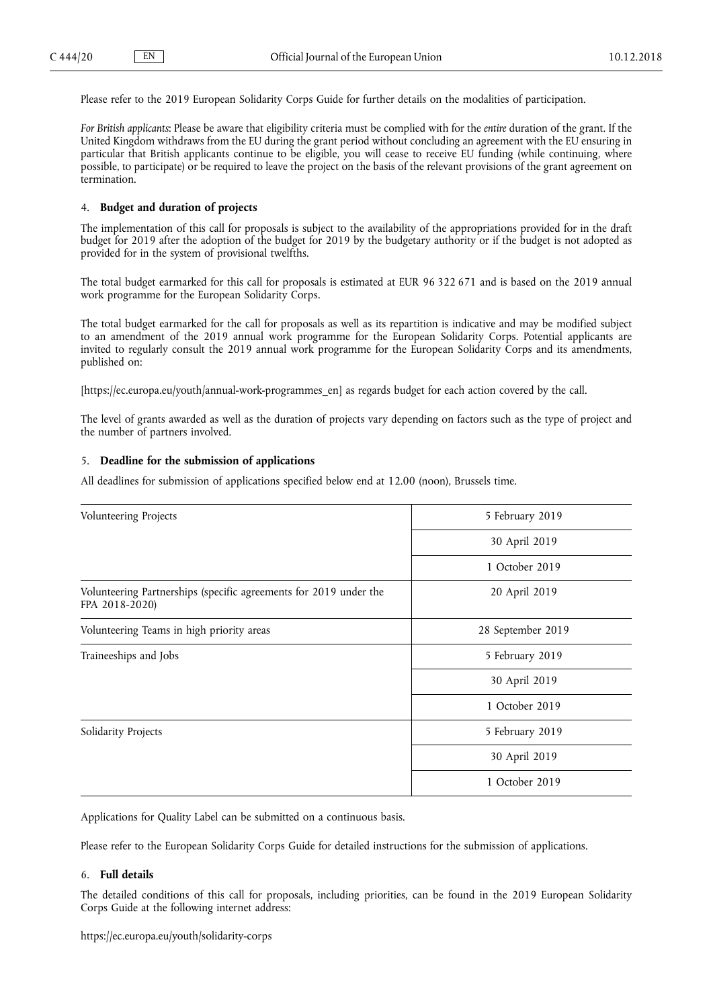Please refer to the 2019 European Solidarity Corps Guide for further details on the modalities of participation.

*For British applicants*: Please be aware that eligibility criteria must be complied with for the *entire* duration of the grant. If the United Kingdom withdraws from the EU during the grant period without concluding an agreement with the EU ensuring in particular that British applicants continue to be eligible, you will cease to receive EU funding (while continuing, where possible, to participate) or be required to leave the project on the basis of the relevant provisions of the grant agreement on termination.

## 4. **Budget and duration of projects**

The implementation of this call for proposals is subject to the availability of the appropriations provided for in the draft budget for 2019 after the adoption of the budget for 2019 by the budgetary authority or if the budget is not adopted as provided for in the system of provisional twelfths.

The total budget earmarked for this call for proposals is estimated at EUR 96 322 671 and is based on the 2019 annual work programme for the European Solidarity Corps.

The total budget earmarked for the call for proposals as well as its repartition is indicative and may be modified subject to an amendment of the 2019 annual work programme for the European Solidarity Corps. Potential applicants are invited to regularly consult the 2019 annual work programme for the European Solidarity Corps and its amendments, published on:

[\[https://ec.europa.eu/youth/annual-work-programmes\\_en\]](https://ec.europa.eu/youth/annual-work-programmes_en) as regards budget for each action covered by the call.

The level of grants awarded as well as the duration of projects vary depending on factors such as the type of project and the number of partners involved.

## 5. **Deadline for the submission of applications**

All deadlines for submission of applications specified below end at 12.00 (noon), Brussels time.

| Volunteering Projects                                                               | 5 February 2019   |
|-------------------------------------------------------------------------------------|-------------------|
|                                                                                     | 30 April 2019     |
|                                                                                     | 1 October 2019    |
| Volunteering Partnerships (specific agreements for 2019 under the<br>FPA 2018-2020) | 20 April 2019     |
| Volunteering Teams in high priority areas                                           | 28 September 2019 |
| Traineeships and Jobs                                                               | 5 February 2019   |
|                                                                                     | 30 April 2019     |
|                                                                                     | 1 October 2019    |
| Solidarity Projects                                                                 | 5 February 2019   |
|                                                                                     | 30 April 2019     |
|                                                                                     | 1 October 2019    |
|                                                                                     |                   |

Applications for Quality Label can be submitted on a continuous basis.

Please refer to the European Solidarity Corps Guide for detailed instructions for the submission of applications.

## 6. **Full details**

The detailed conditions of this call for proposals, including priorities, can be found in the 2019 European Solidarity Corps Guide at the following internet address: